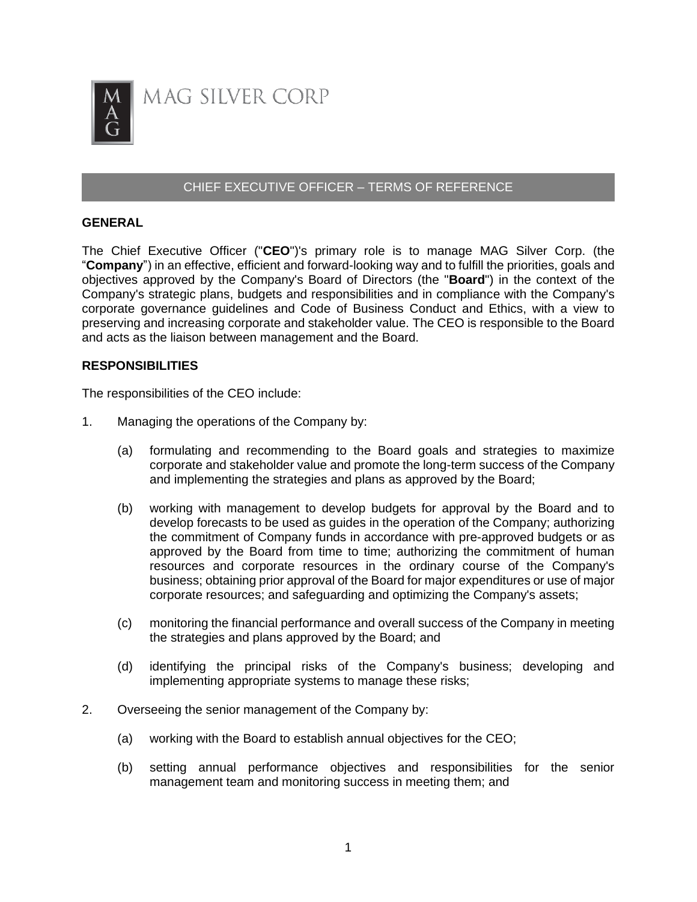

## CHIEF EXECUTIVE OFFICER – TERMS OF REFERENCE

## **GENERAL**

The Chief Executive Officer ("**CEO**")'s primary role is to manage MAG Silver Corp. (the "**Company**") in an effective, efficient and forward-looking way and to fulfill the priorities, goals and objectives approved by the Company's Board of Directors (the "**Board**") in the context of the Company's strategic plans, budgets and responsibilities and in compliance with the Company's corporate governance guidelines and Code of Business Conduct and Ethics, with a view to preserving and increasing corporate and stakeholder value. The CEO is responsible to the Board and acts as the liaison between management and the Board.

## **RESPONSIBILITIES**

The responsibilities of the CEO include:

- 1. Managing the operations of the Company by:
	- (a) formulating and recommending to the Board goals and strategies to maximize corporate and stakeholder value and promote the long-term success of the Company and implementing the strategies and plans as approved by the Board;
	- (b) working with management to develop budgets for approval by the Board and to develop forecasts to be used as guides in the operation of the Company; authorizing the commitment of Company funds in accordance with pre-approved budgets or as approved by the Board from time to time; authorizing the commitment of human resources and corporate resources in the ordinary course of the Company's business; obtaining prior approval of the Board for major expenditures or use of major corporate resources; and safeguarding and optimizing the Company's assets;
	- (c) monitoring the financial performance and overall success of the Company in meeting the strategies and plans approved by the Board; and
	- (d) identifying the principal risks of the Company's business; developing and implementing appropriate systems to manage these risks;
- 2. Overseeing the senior management of the Company by:
	- (a) working with the Board to establish annual objectives for the CEO;
	- (b) setting annual performance objectives and responsibilities for the senior management team and monitoring success in meeting them; and